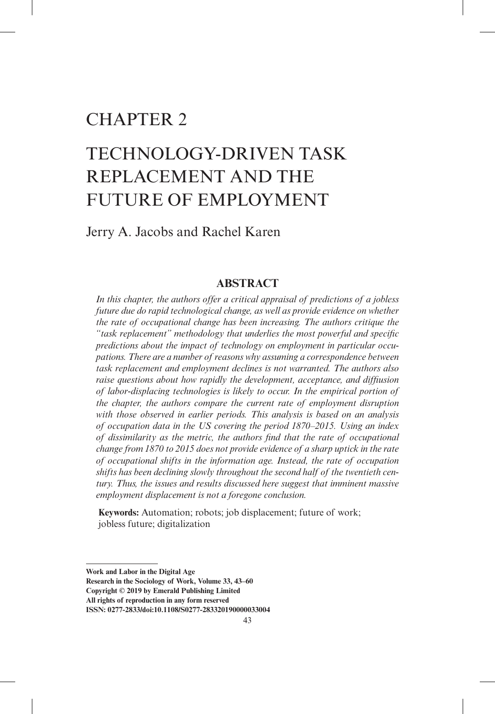## **CHAPTER 2**

# Technology-Driven Task Replacement and the Future of Employment

Jerry A. Jacobs and Rachel Karen

## **Abstract**

*In this chapter, the authors offer a critical appraisal of predictions of a jobless future due do rapid technological change, as well as provide evidence on whether the rate of occupational change has been increasing. The authors critique the "task replacement" methodology that underlies the most powerful and specific predictions about the impact of technology on employment in particular occupations. There are a number of reasons why assuming a correspondence between task replacement and employment declines is not warranted. The authors also raise questions about how rapidly the development, acceptance, and diffiusion of labor-displacing technologies is likely to occur. In the empirical portion of the chapter, the authors compare the current rate of employment disruption with those observed in earlier periods. This analysis is based on an analysis of occupation data in the US covering the period 1870–2015. Using an index of dissimilarity as the metric, the authors find that the rate of occupational change from 1870 to 2015 does not provide evidence of a sharp uptick in the rate of occupational shifts in the information age. Instead, the rate of occupation shifts has been declining slowly throughout the second half of the twentieth century. Thus, the issues and results discussed here suggest that imminent massive employment displacement is not a foregone conclusion.*

**Keywords:** Automation; robots; job displacement; future of work; jobless future; digitalization

**Work and Labor in the Digital Age**

**Research in the Sociology of Work, Volume 33, 43–60 Copyright © 2019 by Emerald Publishing Limited**

**All rights of reproduction in any form reserved ISSN: 0277-2833/doi:10.1108/S0277-283320190000033004**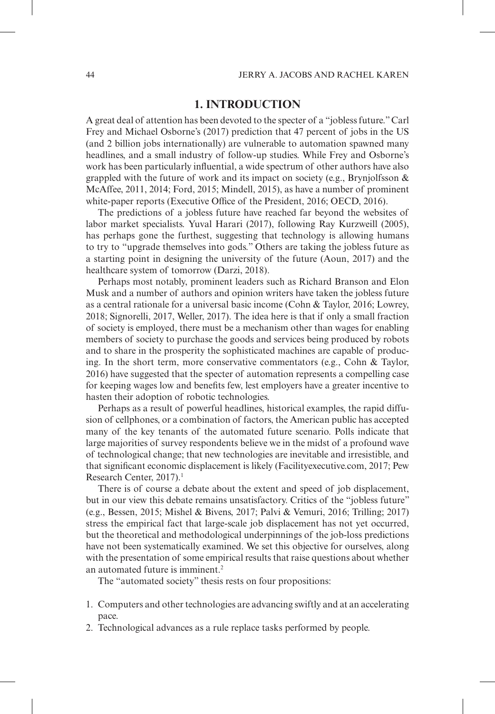## **1. Introduction**

A great deal of attention has been devoted to the specter of a "jobless future." Carl Frey and Michael Osborne's (2017) prediction that 47 percent of jobs in the US (and 2 billion jobs internationally) are vulnerable to automation spawned many headlines, and a small industry of follow-up studies. While Frey and Osborne's work has been particularly influential, a wide spectrum of other authors have also grappled with the future of work and its impact on society (e.g., Brynjolfsson  $\&$ McAffee, 2011, 2014; Ford, 2015; Mindell, 2015), as have a number of prominent white-paper reports (Executive Office of the President, 2016; OECD, 2016).

The predictions of a jobless future have reached far beyond the websites of labor market specialists. Yuval Harari (2017), following Ray Kurzweill (2005), has perhaps gone the furthest, suggesting that technology is allowing humans to try to "upgrade themselves into gods." Others are taking the jobless future as a starting point in designing the university of the future (Aoun, 2017) and the healthcare system of tomorrow (Darzi, 2018).

Perhaps most notably, prominent leaders such as Richard Branson and Elon Musk and a number of authors and opinion writers have taken the jobless future as a central rationale for a universal basic income (Cohn & Taylor, 2016; Lowrey, 2018; Signorelli, 2017, Weller, 2017). The idea here is that if only a small fraction of society is employed, there must be a mechanism other than wages for enabling members of society to purchase the goods and services being produced by robots and to share in the prosperity the sophisticated machines are capable of producing. In the short term, more conservative commentators (e.g., Cohn & Taylor, 2016) have suggested that the specter of automation represents a compelling case for keeping wages low and benefits few, lest employers have a greater incentive to hasten their adoption of robotic technologies.

Perhaps as a result of powerful headlines, historical examples, the rapid diffusion of cellphones, or a combination of factors, the American public has accepted many of the key tenants of the automated future scenario. Polls indicate that large majorities of survey respondents believe we in the midst of a profound wave of technological change; that new technologies are inevitable and irresistible, and that significant economic displacement is likely (Facilityexecutive.com, 2017; Pew Research Center, 2017).<sup>1</sup>

There is of course a debate about the extent and speed of job displacement, but in our view this debate remains unsatisfactory. Critics of the "jobless future" (e.g., Bessen, 2015; Mishel & Bivens, 2017; Palvi & Vemuri, 2016; Trilling; 2017) stress the empirical fact that large-scale job displacement has not yet occurred, but the theoretical and methodological underpinnings of the job-loss predictions have not been systematically examined. We set this objective for ourselves, along with the presentation of some empirical results that raise questions about whether an automated future is imminent.<sup>2</sup>

The "automated society" thesis rests on four propositions:

- 1. Computers and other technologies are advancing swiftly and at an accelerating pace.
- 2. Technological advances as a rule replace tasks performed by people.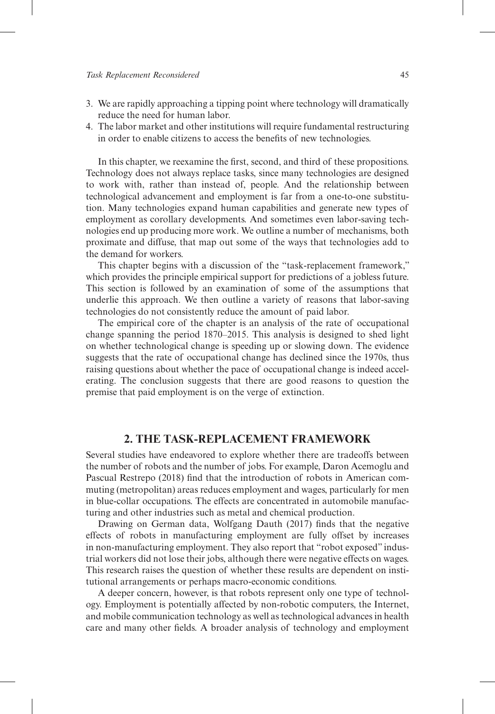- 3. We are rapidly approaching a tipping point where technology will dramatically reduce the need for human labor.
- 4. The labor market and other institutions will require fundamental restructuring in order to enable citizens to access the benefits of new technologies.

In this chapter, we reexamine the first, second, and third of these propositions. Technology does not always replace tasks, since many technologies are designed to work with, rather than instead of, people. And the relationship between technological advancement and employment is far from a one-to-one substitution. Many technologies expand human capabilities and generate new types of employment as corollary developments. And sometimes even labor-saving technologies end up producing more work. We outline a number of mechanisms, both proximate and diffuse, that map out some of the ways that technologies add to the demand for workers.

This chapter begins with a discussion of the "task-replacement framework," which provides the principle empirical support for predictions of a jobless future. This section is followed by an examination of some of the assumptions that underlie this approach. We then outline a variety of reasons that labor-saving technologies do not consistently reduce the amount of paid labor.

The empirical core of the chapter is an analysis of the rate of occupational change spanning the period 1870–2015. This analysis is designed to shed light on whether technological change is speeding up or slowing down. The evidence suggests that the rate of occupational change has declined since the 1970s, thus raising questions about whether the pace of occupational change is indeed accelerating. The conclusion suggests that there are good reasons to question the premise that paid employment is on the verge of extinction.

### **2. The Task-Replacement Framework**

Several studies have endeavored to explore whether there are tradeoffs between the number of robots and the number of jobs. For example, Daron Acemoglu and Pascual Restrepo (2018) find that the introduction of robots in American commuting (metropolitan) areas reduces employment and wages, particularly for men in blue-collar occupations. The effects are concentrated in automobile manufacturing and other industries such as metal and chemical production.

Drawing on German data, Wolfgang Dauth (2017) finds that the negative effects of robots in manufacturing employment are fully offset by increases in non-manufacturing employment. They also report that "robot exposed" industrial workers did not lose their jobs, although there were negative effects on wages. This research raises the question of whether these results are dependent on institutional arrangements or perhaps macro-economic conditions.

A deeper concern, however, is that robots represent only one type of technology. Employment is potentially affected by non-robotic computers, the Internet, and mobile communication technology as well as technological advances in health care and many other fields. A broader analysis of technology and employment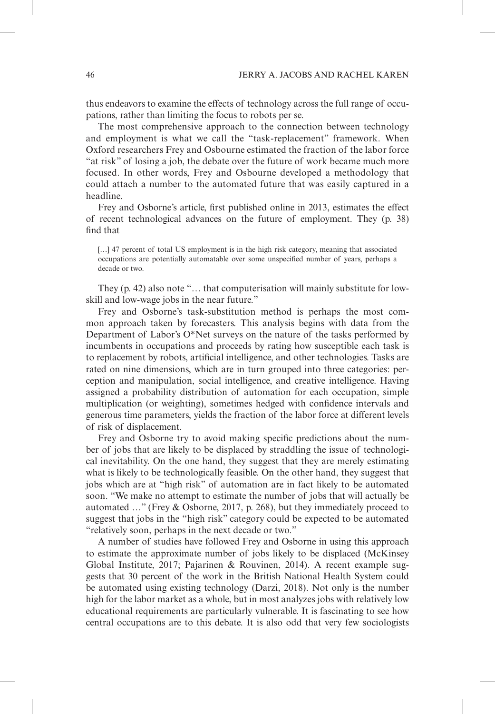thus endeavors to examine the effects of technology across the full range of occupations, rather than limiting the focus to robots per se.

The most comprehensive approach to the connection between technology and employment is what we call the "task-replacement" framework. When Oxford researchers Frey and Osbourne estimated the fraction of the labor force "at risk" of losing a job, the debate over the future of work became much more focused. In other words, Frey and Osbourne developed a methodology that could attach a number to the automated future that was easily captured in a headline.

Frey and Osborne's article, first published online in 2013, estimates the effect of recent technological advances on the future of employment. They (p. 38) find that

[...] 47 percent of total US employment is in the high risk category, meaning that associated occupations are potentially automatable over some unspecified number of years, perhaps a decade or two.

They (p. 42) also note "… that computerisation will mainly substitute for lowskill and low-wage jobs in the near future."

Frey and Osborne's task-substitution method is perhaps the most common approach taken by forecasters. This analysis begins with data from the Department of Labor's O\*Net surveys on the nature of the tasks performed by incumbents in occupations and proceeds by rating how susceptible each task is to replacement by robots, artificial intelligence, and other technologies. Tasks are rated on nine dimensions, which are in turn grouped into three categories: perception and manipulation, social intelligence, and creative intelligence. Having assigned a probability distribution of automation for each occupation, simple multiplication (or weighting), sometimes hedged with confidence intervals and generous time parameters, yields the fraction of the labor force at different levels of risk of displacement.

Frey and Osborne try to avoid making specific predictions about the number of jobs that are likely to be displaced by straddling the issue of technological inevitability. On the one hand, they suggest that they are merely estimating what is likely to be technologically feasible. On the other hand, they suggest that jobs which are at "high risk" of automation are in fact likely to be automated soon. "We make no attempt to estimate the number of jobs that will actually be automated …" (Frey & Osborne, 2017, p. 268), but they immediately proceed to suggest that jobs in the "high risk" category could be expected to be automated "relatively soon, perhaps in the next decade or two."

A number of studies have followed Frey and Osborne in using this approach to estimate the approximate number of jobs likely to be displaced (McKinsey Global Institute, 2017; Pajarinen & Rouvinen, 2014). A recent example suggests that 30 percent of the work in the British National Health System could be automated using existing technology (Darzi, 2018). Not only is the number high for the labor market as a whole, but in most analyzes jobs with relatively low educational requirements are particularly vulnerable. It is fascinating to see how central occupations are to this debate. It is also odd that very few sociologists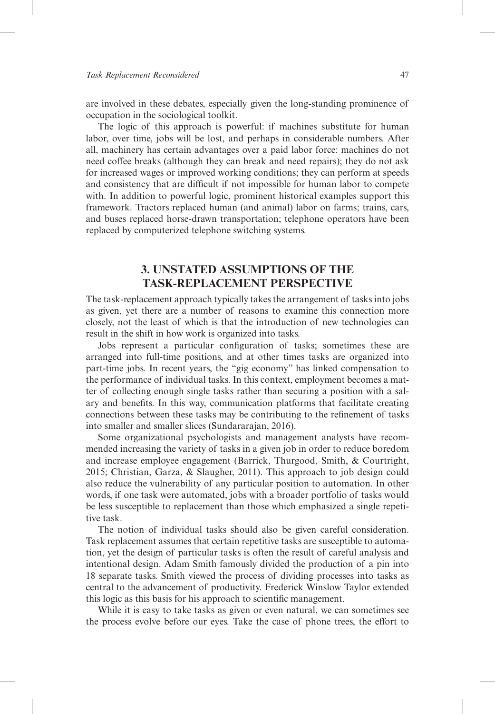are involved in these debates, especially given the long-standing prominence of occupation in the sociological toolkit.

The logic of this approach is powerful: if machines substitute for human labor, over time, jobs will be lost, and perhaps in considerable numbers. After all, machinery has certain advantages over a paid labor force: machines do not need coffee breaks (although they can break and need repairs); they do not ask for increased wages or improved working conditions; they can perform at speeds and consistency that are difficult if not impossible for human labor to compete with. In addition to powerful logic, prominent historical examples support this framework. Tractors replaced human (and animal) labor on farms; trains, cars, and buses replaced horse-drawn transportation; telephone operators have been replaced by computerized telephone switching systems.

## **3. Unstated Assumptions of the Task-Replacement Perspective**

The task-replacement approach typically takes the arrangement of tasks into jobs as given, yet there are a number of reasons to examine this connection more closely, not the least of which is that the introduction of new technologies can result in the shift in how work is organized into tasks.

Jobs represent a particular configuration of tasks; sometimes these are arranged into full-time positions, and at other times tasks are organized into part-time jobs. In recent years, the "gig economy" has linked compensation to the performance of individual tasks. In this context, employment becomes a matter of collecting enough single tasks rather than securing a position with a salary and benefits. In this way, communication platforms that facilitate creating connections between these tasks may be contributing to the refinement of tasks into smaller and smaller slices (Sundararajan, 2016).

Some organizational psychologists and management analysts have recommended increasing the variety of tasks in a given job in order to reduce boredom and increase employee engagement (Barrick, Thurgood, Smith, & Courtright, 2015; Christian, Garza, & Slaugher, 2011). This approach to job design could also reduce the vulnerability of any particular position to automation. In other words, if one task were automated, jobs with a broader portfolio of tasks would be less susceptible to replacement than those which emphasized a single repetitive task.

The notion of individual tasks should also be given careful consideration. Task replacement assumes that certain repetitive tasks are susceptible to automation, yet the design of particular tasks is often the result of careful analysis and intentional design. Adam Smith famously divided the production of a pin into 18 separate tasks. Smith viewed the process of dividing processes into tasks as central to the advancement of productivity. Frederick Winslow Taylor extended this logic as this basis for his approach to scientific management.

While it is easy to take tasks as given or even natural, we can sometimes see the process evolve before our eyes. Take the case of phone trees, the effort to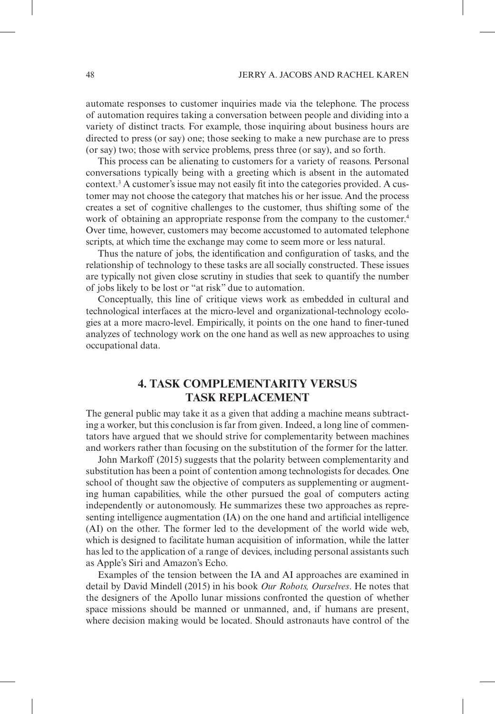automate responses to customer inquiries made via the telephone. The process of automation requires taking a conversation between people and dividing into a variety of distinct tracts. For example, those inquiring about business hours are directed to press (or say) one; those seeking to make a new purchase are to press (or say) two; those with service problems, press three (or say), and so forth.

This process can be alienating to customers for a variety of reasons. Personal conversations typically being with a greeting which is absent in the automated context.3 A customer's issue may not easily fit into the categories provided. A customer may not choose the category that matches his or her issue. And the process creates a set of cognitive challenges to the customer, thus shifting some of the work of obtaining an appropriate response from the company to the customer.<sup>4</sup> Over time, however, customers may become accustomed to automated telephone scripts, at which time the exchange may come to seem more or less natural.

Thus the nature of jobs, the identification and configuration of tasks, and the relationship of technology to these tasks are all socially constructed. These issues are typically not given close scrutiny in studies that seek to quantify the number of jobs likely to be lost or "at risk" due to automation.

Conceptually, this line of critique views work as embedded in cultural and technological interfaces at the micro-level and organizational-technology ecologies at a more macro-level. Empirically, it points on the one hand to finer-tuned analyzes of technology work on the one hand as well as new approaches to using occupational data.

## **4. Task Complementarity Versus Task Replacement**

The general public may take it as a given that adding a machine means subtracting a worker, but this conclusion is far from given. Indeed, a long line of commentators have argued that we should strive for complementarity between machines and workers rather than focusing on the substitution of the former for the latter.

John Markoff (2015) suggests that the polarity between complementarity and substitution has been a point of contention among technologists for decades. One school of thought saw the objective of computers as supplementing or augmenting human capabilities, while the other pursued the goal of computers acting independently or autonomously. He summarizes these two approaches as representing intelligence augmentation (IA) on the one hand and artificial intelligence (AI) on the other. The former led to the development of the world wide web, which is designed to facilitate human acquisition of information, while the latter has led to the application of a range of devices, including personal assistants such as Apple's Siri and Amazon's Echo.

Examples of the tension between the IA and AI approaches are examined in detail by David Mindell (2015) in his book *Our Robots, Ourselves*. He notes that the designers of the Apollo lunar missions confronted the question of whether space missions should be manned or unmanned, and, if humans are present, where decision making would be located. Should astronauts have control of the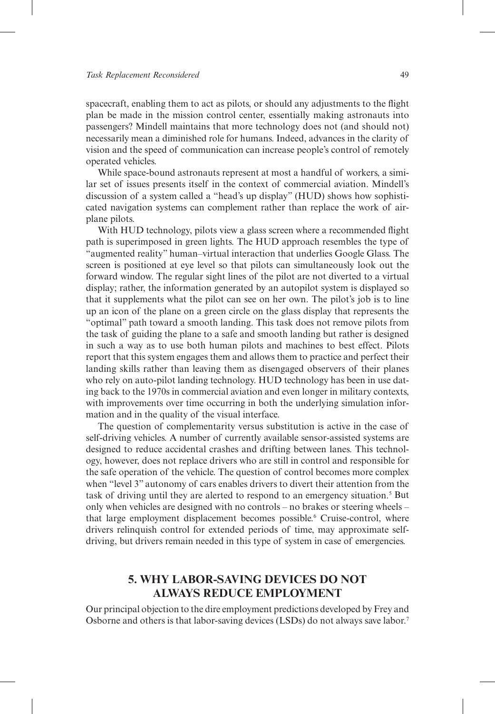#### *Task Replacement Reconsidered* 49

spacecraft, enabling them to act as pilots, or should any adjustments to the flight plan be made in the mission control center, essentially making astronauts into passengers? Mindell maintains that more technology does not (and should not) necessarily mean a diminished role for humans. Indeed, advances in the clarity of vision and the speed of communication can increase people's control of remotely operated vehicles.

While space-bound astronauts represent at most a handful of workers, a similar set of issues presents itself in the context of commercial aviation. Mindell's discussion of a system called a "head's up display" (HUD) shows how sophisticated navigation systems can complement rather than replace the work of airplane pilots.

With HUD technology, pilots view a glass screen where a recommended flight path is superimposed in green lights. The HUD approach resembles the type of "augmented reality" human–virtual interaction that underlies Google Glass. The screen is positioned at eye level so that pilots can simultaneously look out the forward window. The regular sight lines of the pilot are not diverted to a virtual display; rather, the information generated by an autopilot system is displayed so that it supplements what the pilot can see on her own. The pilot's job is to line up an icon of the plane on a green circle on the glass display that represents the "optimal" path toward a smooth landing. This task does not remove pilots from the task of guiding the plane to a safe and smooth landing but rather is designed in such a way as to use both human pilots and machines to best effect. Pilots report that this system engages them and allows them to practice and perfect their landing skills rather than leaving them as disengaged observers of their planes who rely on auto-pilot landing technology. HUD technology has been in use dating back to the 1970s in commercial aviation and even longer in military contexts, with improvements over time occurring in both the underlying simulation information and in the quality of the visual interface.

The question of complementarity versus substitution is active in the case of self-driving vehicles. A number of currently available sensor-assisted systems are designed to reduce accidental crashes and drifting between lanes. This technology, however, does not replace drivers who are still in control and responsible for the safe operation of the vehicle. The question of control becomes more complex when "level 3" autonomy of cars enables drivers to divert their attention from the task of driving until they are alerted to respond to an emergency situation.<sup>5</sup> But only when vehicles are designed with no controls – no brakes or steering wheels – that large employment displacement becomes possible.<sup>6</sup> Cruise-control, where drivers relinquish control for extended periods of time, may approximate selfdriving, but drivers remain needed in this type of system in case of emergencies.

## **5. Why Labor-Saving Devices Do Not Always Reduce Employment**

Our principal objection to the dire employment predictions developed by Frey and Osborne and others is that labor-saving devices (LSDs) do not always save labor.7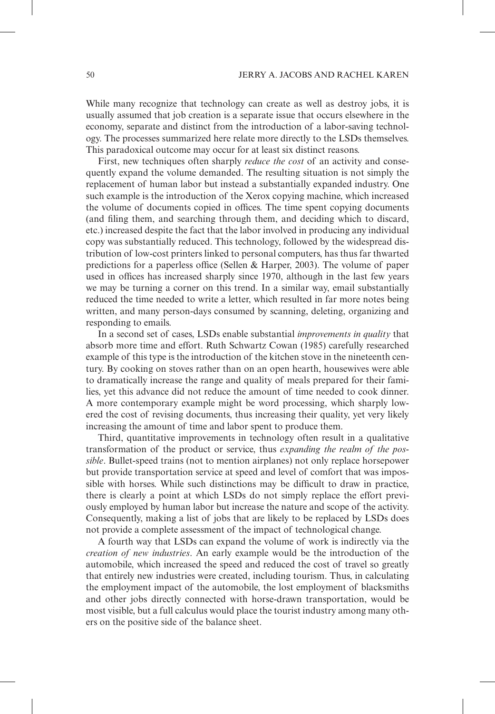While many recognize that technology can create as well as destroy jobs, it is usually assumed that job creation is a separate issue that occurs elsewhere in the economy, separate and distinct from the introduction of a labor-saving technology. The processes summarized here relate more directly to the LSDs themselves. This paradoxical outcome may occur for at least six distinct reasons.

First, new techniques often sharply *reduce the cost* of an activity and consequently expand the volume demanded. The resulting situation is not simply the replacement of human labor but instead a substantially expanded industry. One such example is the introduction of the Xerox copying machine, which increased the volume of documents copied in offices. The time spent copying documents (and filing them, and searching through them, and deciding which to discard, etc.) increased despite the fact that the labor involved in producing any individual copy was substantially reduced. This technology, followed by the widespread distribution of low-cost printers linked to personal computers, has thus far thwarted predictions for a paperless office (Sellen & Harper, 2003). The volume of paper used in offices has increased sharply since 1970, although in the last few years we may be turning a corner on this trend. In a similar way, email substantially reduced the time needed to write a letter, which resulted in far more notes being written, and many person-days consumed by scanning, deleting, organizing and responding to emails.

In a second set of cases, LSDs enable substantial *improvements in quality* that absorb more time and effort. Ruth Schwartz Cowan (1985) carefully researched example of this type is the introduction of the kitchen stove in the nineteenth century. By cooking on stoves rather than on an open hearth, housewives were able to dramatically increase the range and quality of meals prepared for their families, yet this advance did not reduce the amount of time needed to cook dinner. A more contemporary example might be word processing, which sharply lowered the cost of revising documents, thus increasing their quality, yet very likely increasing the amount of time and labor spent to produce them.

Third, quantitative improvements in technology often result in a qualitative transformation of the product or service, thus *expanding the realm of the possible*. Bullet-speed trains (not to mention airplanes) not only replace horsepower but provide transportation service at speed and level of comfort that was impossible with horses. While such distinctions may be difficult to draw in practice, there is clearly a point at which LSDs do not simply replace the effort previously employed by human labor but increase the nature and scope of the activity. Consequently, making a list of jobs that are likely to be replaced by LSDs does not provide a complete assessment of the impact of technological change.

A fourth way that LSDs can expand the volume of work is indirectly via the *creation of new industries*. An early example would be the introduction of the automobile, which increased the speed and reduced the cost of travel so greatly that entirely new industries were created, including tourism. Thus, in calculating the employment impact of the automobile, the lost employment of blacksmiths and other jobs directly connected with horse-drawn transportation, would be most visible, but a full calculus would place the tourist industry among many others on the positive side of the balance sheet.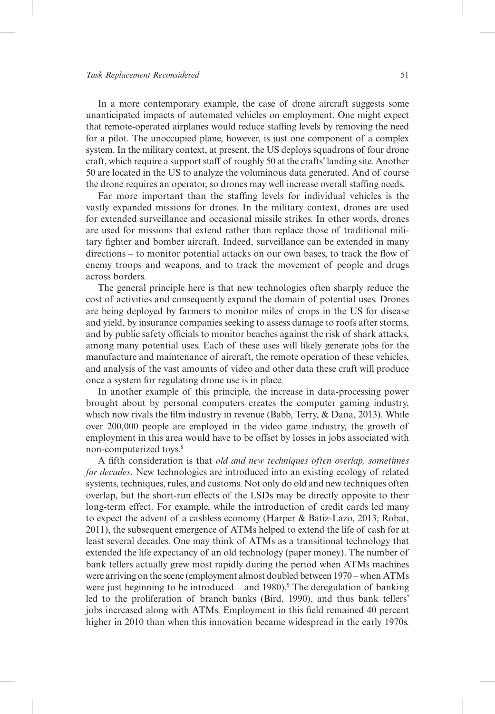In a more contemporary example, the case of drone aircraft suggests some unanticipated impacts of automated vehicles on employment. One might expect that remote-operated airplanes would reduce staffing levels by removing the need for a pilot. The unoccupied plane, however, is just one component of a complex system. In the military context, at present, the US deploys squadrons of four drone craft, which require a support staff of roughly 50 at the crafts' landing site. Another 50 are located in the US to analyze the voluminous data generated. And of course the drone requires an operator, so drones may well increase overall staffing needs.

Far more important than the staffing levels for individual vehicles is the vastly expanded missions for drones. In the military context, drones are used for extended surveillance and occasional missile strikes. In other words, drones are used for missions that extend rather than replace those of traditional military fighter and bomber aircraft. Indeed, surveillance can be extended in many directions – to monitor potential attacks on our own bases, to track the flow of enemy troops and weapons, and to track the movement of people and drugs across borders.

The general principle here is that new technologies often sharply reduce the cost of activities and consequently expand the domain of potential uses. Drones are being deployed by farmers to monitor miles of crops in the US for disease and yield, by insurance companies seeking to assess damage to roofs after storms, and by public safety officials to monitor beaches against the risk of shark attacks, among many potential uses. Each of these uses will likely generate jobs for the manufacture and maintenance of aircraft, the remote operation of these vehicles, and analysis of the vast amounts of video and other data these craft will produce once a system for regulating drone use is in place.

In another example of this principle, the increase in data-processing power brought about by personal computers creates the computer gaming industry, which now rivals the film industry in revenue (Babb, Terry, & Dana, 2013). While over 200,000 people are employed in the video game industry, the growth of employment in this area would have to be offset by losses in jobs associated with non-computerized toys.<sup>8</sup>

A fifth consideration is that *old and new techniques often overlap, sometimes for decades*. New technologies are introduced into an existing ecology of related systems, techniques, rules, and customs. Not only do old and new techniques often overlap, but the short-run effects of the LSDs may be directly opposite to their long-term effect. For example, while the introduction of credit cards led many to expect the advent of a cashless economy (Harper & Batiz-Lazo, 2013; Robat, 2011), the subsequent emergence of ATMs helped to extend the life of cash for at least several decades. One may think of ATMs as a transitional technology that extended the life expectancy of an old technology (paper money). The number of bank tellers actually grew most rapidly during the period when ATMs machines were arriving on the scene (employment almost doubled between 1970 – when ATMs were just beginning to be introduced – and  $1980$ .<sup>9</sup> The deregulation of banking led to the proliferation of branch banks (Bird, 1990), and thus bank tellers' jobs increased along with ATMs. Employment in this field remained 40 percent higher in 2010 than when this innovation became widespread in the early 1970s.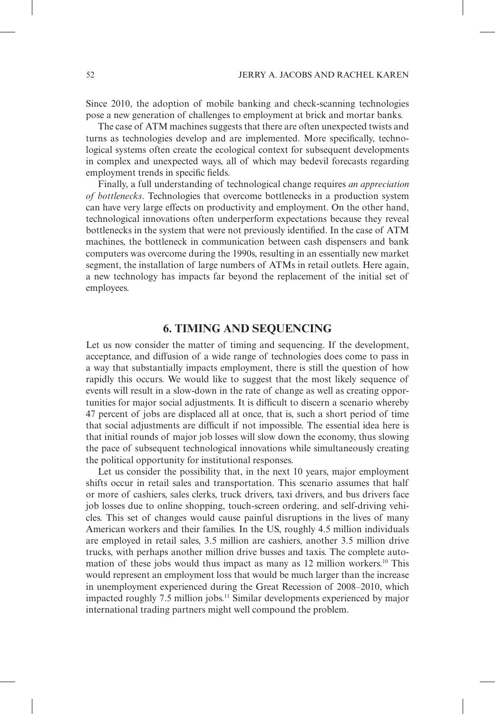Since 2010, the adoption of mobile banking and check-scanning technologies pose a new generation of challenges to employment at brick and mortar banks.

The case of ATM machines suggests that there are often unexpected twists and turns as technologies develop and are implemented. More specifically, technological systems often create the ecological context for subsequent developments in complex and unexpected ways, all of which may bedevil forecasts regarding employment trends in specific fields.

Finally, a full understanding of technological change requires *an appreciation of bottlenecks*. Technologies that overcome bottlenecks in a production system can have very large effects on productivity and employment. On the other hand, technological innovations often underperform expectations because they reveal bottlenecks in the system that were not previously identified. In the case of ATM machines, the bottleneck in communication between cash dispensers and bank computers was overcome during the 1990s, resulting in an essentially new market segment, the installation of large numbers of ATMs in retail outlets. Here again, a new technology has impacts far beyond the replacement of the initial set of employees.

## **6. Timing and Sequencing**

Let us now consider the matter of timing and sequencing. If the development, acceptance, and diffusion of a wide range of technologies does come to pass in a way that substantially impacts employment, there is still the question of how rapidly this occurs. We would like to suggest that the most likely sequence of events will result in a slow-down in the rate of change as well as creating opportunities for major social adjustments. It is difficult to discern a scenario whereby 47 percent of jobs are displaced all at once, that is, such a short period of time that social adjustments are difficult if not impossible. The essential idea here is that initial rounds of major job losses will slow down the economy, thus slowing the pace of subsequent technological innovations while simultaneously creating the political opportunity for institutional responses.

Let us consider the possibility that, in the next 10 years, major employment shifts occur in retail sales and transportation. This scenario assumes that half or more of cashiers, sales clerks, truck drivers, taxi drivers, and bus drivers face job losses due to online shopping, touch-screen ordering, and self-driving vehicles. This set of changes would cause painful disruptions in the lives of many American workers and their families. In the US, roughly 4.5 million individuals are employed in retail sales, 3.5 million are cashiers, another 3.5 million drive trucks, with perhaps another million drive busses and taxis. The complete automation of these jobs would thus impact as many as 12 million workers.<sup>10</sup> This would represent an employment loss that would be much larger than the increase in unemployment experienced during the Great Recession of 2008–2010, which impacted roughly 7.5 million jobs.<sup>11</sup> Similar developments experienced by major international trading partners might well compound the problem.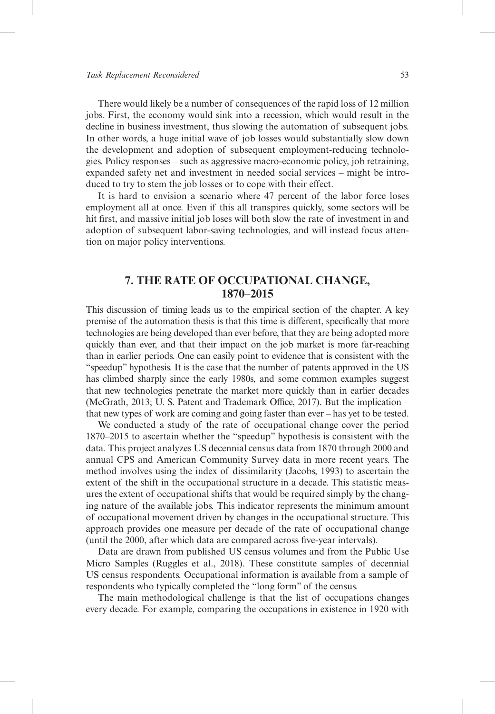There would likely be a number of consequences of the rapid loss of 12 million jobs. First, the economy would sink into a recession, which would result in the decline in business investment, thus slowing the automation of subsequent jobs. In other words, a huge initial wave of job losses would substantially slow down the development and adoption of subsequent employment-reducing technologies. Policy responses – such as aggressive macro-economic policy, job retraining, expanded safety net and investment in needed social services – might be introduced to try to stem the job losses or to cope with their effect.

It is hard to envision a scenario where 47 percent of the labor force loses employment all at once. Even if this all transpires quickly, some sectors will be hit first, and massive initial job loses will both slow the rate of investment in and adoption of subsequent labor-saving technologies, and will instead focus attention on major policy interventions.

## **7. The Rate of Occupational Change, 1870–2015**

This discussion of timing leads us to the empirical section of the chapter. A key premise of the automation thesis is that this time is different, specifically that more technologies are being developed than ever before, that they are being adopted more quickly than ever, and that their impact on the job market is more far-reaching than in earlier periods. One can easily point to evidence that is consistent with the "speedup" hypothesis. It is the case that the number of patents approved in the US has climbed sharply since the early 1980s, and some common examples suggest that new technologies penetrate the market more quickly than in earlier decades (McGrath, 2013; U. S. Patent and Trademark Office, 2017). But the implication – that new types of work are coming and going faster than ever – has yet to be tested.

We conducted a study of the rate of occupational change cover the period 1870–2015 to ascertain whether the "speedup" hypothesis is consistent with the data. This project analyzes US decennial census data from 1870 through 2000 and annual CPS and American Community Survey data in more recent years. The method involves using the index of dissimilarity (Jacobs, 1993) to ascertain the extent of the shift in the occupational structure in a decade. This statistic measures the extent of occupational shifts that would be required simply by the changing nature of the available jobs. This indicator represents the minimum amount of occupational movement driven by changes in the occupational structure. This approach provides one measure per decade of the rate of occupational change (until the 2000, after which data are compared across five-year intervals).

Data are drawn from published US census volumes and from the Public Use Micro Samples (Ruggles et al., 2018). These constitute samples of decennial US census respondents. Occupational information is available from a sample of respondents who typically completed the "long form" of the census.

The main methodological challenge is that the list of occupations changes every decade. For example, comparing the occupations in existence in 1920 with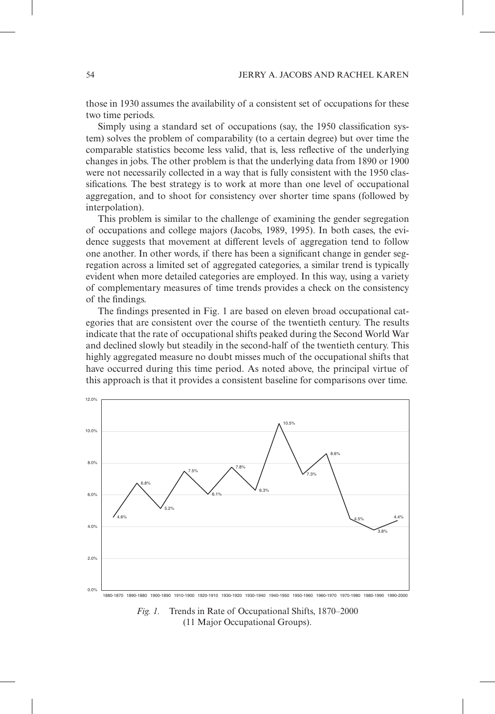those in 1930 assumes the availability of a consistent set of occupations for these two time periods.

Simply using a standard set of occupations (say, the 1950 classification system) solves the problem of comparability (to a certain degree) but over time the comparable statistics become less valid, that is, less reflective of the underlying changes in jobs. The other problem is that the underlying data from 1890 or 1900 were not necessarily collected in a way that is fully consistent with the 1950 classifications. The best strategy is to work at more than one level of occupational aggregation, and to shoot for consistency over shorter time spans (followed by interpolation).

This problem is similar to the challenge of examining the gender segregation of occupations and college majors (Jacobs, 1989, 1995). In both cases, the evidence suggests that movement at different levels of aggregation tend to follow one another. In other words, if there has been a significant change in gender segregation across a limited set of aggregated categories, a similar trend is typically evident when more detailed categories are employed. In this way, using a variety of complementary measures of time trends provides a check on the consistency of the findings.

The findings presented in Fig. 1 are based on eleven broad occupational categories that are consistent over the course of the twentieth century. The results indicate that the rate of occupational shifts peaked during the Second World War and declined slowly but steadily in the second-half of the twentieth century. This highly aggregated measure no doubt misses much of the occupational shifts that have occurred during this time period. As noted above, the principal virtue of this approach is that it provides a consistent baseline for comparisons over time.



*Fig. 1.* Trends in Rate of Occupational Shifts, 1870–2000 (11 Major Occupational Groups).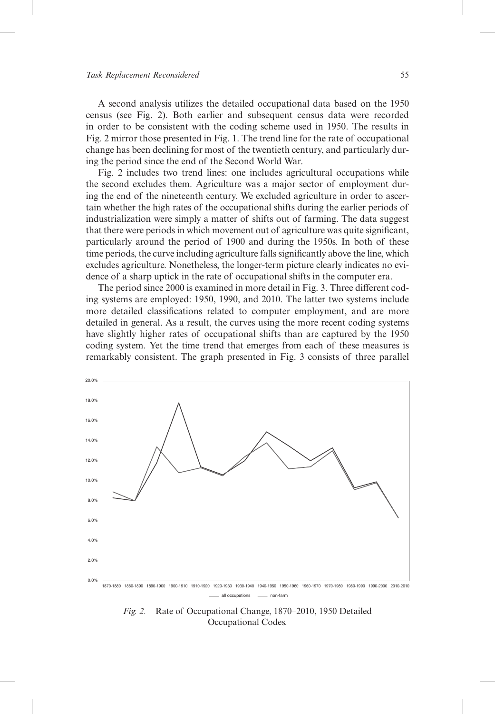A second analysis utilizes the detailed occupational data based on the 1950 census (see Fig. 2). Both earlier and subsequent census data were recorded in order to be consistent with the coding scheme used in 1950. The results in Fig. 2 mirror those presented in Fig. 1. The trend line for the rate of occupational change has been declining for most of the twentieth century, and particularly during the period since the end of the Second World War.

Fig. 2 includes two trend lines: one includes agricultural occupations while the second excludes them. Agriculture was a major sector of employment during the end of the nineteenth century. We excluded agriculture in order to ascertain whether the high rates of the occupational shifts during the earlier periods of industrialization were simply a matter of shifts out of farming. The data suggest that there were periods in which movement out of agriculture was quite significant, particularly around the period of 1900 and during the 1950s. In both of these time periods, the curve including agriculture falls significantly above the line, which excludes agriculture. Nonetheless, the longer-term picture clearly indicates no evidence of a sharp uptick in the rate of occupational shifts in the computer era.

The period since 2000 is examined in more detail in Fig. 3. Three different coding systems are employed: 1950, 1990, and 2010. The latter two systems include more detailed classifications related to computer employment, and are more detailed in general. As a result, the curves using the more recent coding systems have slightly higher rates of occupational shifts than are captured by the 1950 coding system. Yet the time trend that emerges from each of these measures is remarkably consistent. The graph presented in Fig. 3 consists of three parallel



*Fig. 2.* Rate of Occupational Change, 1870–2010, 1950 Detailed Occupational Codes.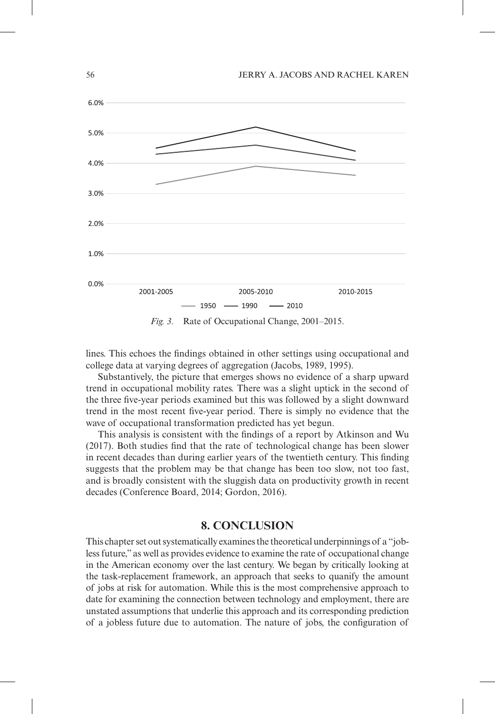



lines. This echoes the findings obtained in other settings using occupational and college data at varying degrees of aggregation (Jacobs, 1989, 1995).

Substantively, the picture that emerges shows no evidence of a sharp upward trend in occupational mobility rates. There was a slight uptick in the second of the three five-year periods examined but this was followed by a slight downward trend in the most recent five-year period. There is simply no evidence that the wave of occupational transformation predicted has yet begun.

This analysis is consistent with the findings of a report by Atkinson and Wu (2017). Both studies find that the rate of technological change has been slower in recent decades than during earlier years of the twentieth century. This finding suggests that the problem may be that change has been too slow, not too fast, and is broadly consistent with the sluggish data on productivity growth in recent decades (Conference Board, 2014; Gordon, 2016).

## **8. Conclusion**

This chapter set out systematically examines the theoretical underpinnings of a "jobless future," as well as provides evidence to examine the rate of occupational change in the American economy over the last century. We began by critically looking at the task-replacement framework, an approach that seeks to quanify the amount of jobs at risk for automation. While this is the most comprehensive approach to date for examining the connection between technology and employment, there are unstated assumptions that underlie this approach and its corresponding prediction of a jobless future due to automation. The nature of jobs, the configuration of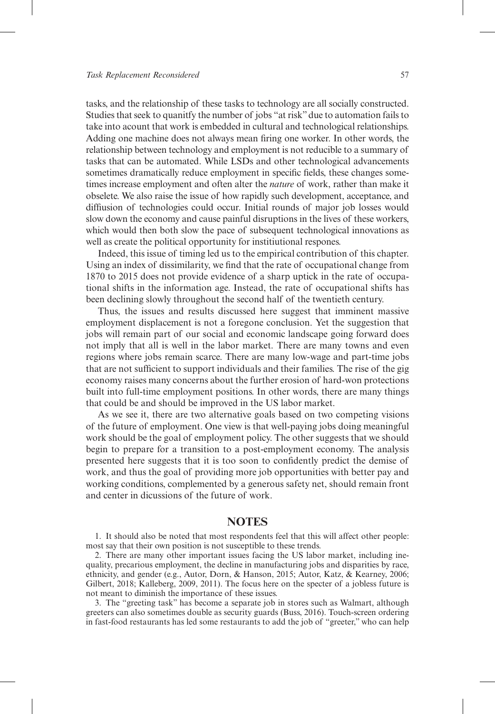tasks, and the relationship of these tasks to technology are all socially constructed. Studies that seek to quanitfy the number of jobs "at risk" due to automation fails to take into acount that work is embedded in cultural and technological relationships. Adding one machine does not always mean firing one worker. In other words, the relationship between technology and employment is not reducible to a summary of tasks that can be automated. While LSDs and other technological advancements sometimes dramatically reduce employment in specific fields, these changes sometimes increase employment and often alter the *nature* of work, rather than make it obselete. We also raise the issue of how rapidly such development, acceptance, and diffiusion of technologies could occur. Initial rounds of major job losses would slow down the economy and cause painful disruptions in the lives of these workers, which would then both slow the pace of subsequent technological innovations as well as create the political opportunity for institiutional respones.

Indeed, this issue of timing led us to the empirical contribution of this chapter. Using an index of dissimilarity, we find that the rate of occupational change from 1870 to 2015 does not provide evidence of a sharp uptick in the rate of occupational shifts in the information age. Instead, the rate of occupational shifts has been declining slowly throughout the second half of the twentieth century.

Thus, the issues and results discussed here suggest that imminent massive employment displacement is not a foregone conclusion. Yet the suggestion that jobs will remain part of our social and economic landscape going forward does not imply that all is well in the labor market. There are many towns and even regions where jobs remain scarce. There are many low-wage and part-time jobs that are not sufficient to support individuals and their families. The rise of the gig economy raises many concerns about the further erosion of hard-won protections built into full-time employment positions. In other words, there are many things that could be and should be improved in the US labor market.

As we see it, there are two alternative goals based on two competing visions of the future of employment. One view is that well-paying jobs doing meaningful work should be the goal of employment policy. The other suggests that we should begin to prepare for a transition to a post-employment economy. The analysis presented here suggests that it is too soon to confidently predict the demise of work, and thus the goal of providing more job opportunities with better pay and working conditions, complemented by a generous safety net, should remain front and center in dicussions of the future of work.

#### **Notes**

1. It should also be noted that most respondents feel that this will affect other people: most say that their own position is not susceptible to these trends.

2. There are many other important issues facing the US labor market, including inequality, precarious employment, the decline in manufacturing jobs and disparities by race, ethnicity, and gender (e.g., Autor, Dorn, & Hanson, 2015; Autor, Katz, & Kearney, 2006; Gilbert, 2018; Kalleberg, 2009, 2011). The focus here on the specter of a jobless future is not meant to diminish the importance of these issues.

3. The "greeting task" has become a separate job in stores such as Walmart, although greeters can also sometimes double as security guards (Buss, 2016). Touch-screen ordering in fast-food restaurants has led some restaurants to add the job of "greeter," who can help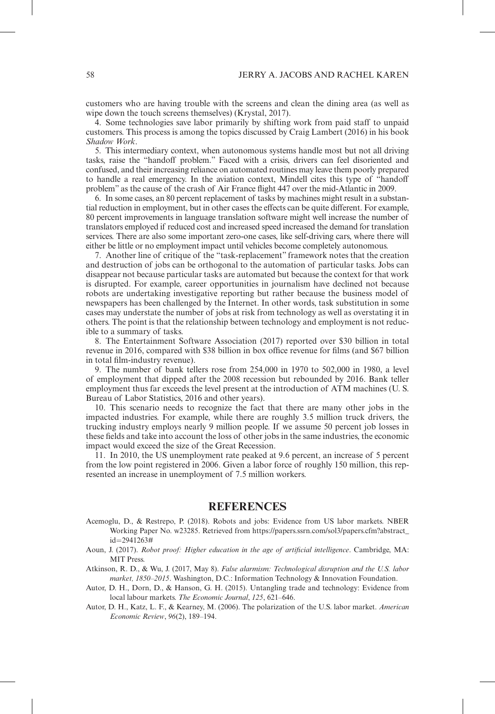customers who are having trouble with the screens and clean the dining area (as well as wipe down the touch screens themselves) (Krystal, 2017).

4. Some technologies save labor primarily by shifting work from paid staff to unpaid customers. This process is among the topics discussed by Craig Lambert (2016) in his book *Shadow Work*.

5. This intermediary context, when autonomous systems handle most but not all driving tasks, raise the "handoff problem." Faced with a crisis, drivers can feel disoriented and confused, and their increasing reliance on automated routines may leave them poorly prepared to handle a real emergency. In the aviation context, Mindell cites this type of "handoff problem" as the cause of the crash of Air France flight 447 over the mid-Atlantic in 2009.

6. In some cases, an 80 percent replacement of tasks by machines might result in a substantial reduction in employment, but in other cases the effects can be quite different. For example, 80 percent improvements in language translation software might well increase the number of translators employed if reduced cost and increased speed increased the demand for translation services. There are also some important zero-one cases, like self-driving cars, where there will either be little or no employment impact until vehicles become completely autonomous.

7. Another line of critique of the "task-replacement" framework notes that the creation and destruction of jobs can be orthogonal to the automation of particular tasks. Jobs can disappear not because particular tasks are automated but because the context for that work is disrupted. For example, career opportunities in journalism have declined not because robots are undertaking investigative reporting but rather because the business model of newspapers has been challenged by the Internet. In other words, task substitution in some cases may understate the number of jobs at risk from technology as well as overstating it in others. The point is that the relationship between technology and employment is not reducible to a summary of tasks.

8. The Entertainment Software Association (2017) reported over \$30 billion in total revenue in 2016, compared with \$38 billion in box office revenue for films (and \$67 billion in total film-industry revenue).

9. The number of bank tellers rose from 254,000 in 1970 to 502,000 in 1980, a level of employment that dipped after the 2008 recession but rebounded by 2016. Bank teller employment thus far exceeds the level present at the introduction of ATM machines (U. S. Bureau of Labor Statistics, 2016 and other years).

10. This scenario needs to recognize the fact that there are many other jobs in the impacted industries. For example, while there are roughly 3.5 million truck drivers, the trucking industry employs nearly 9 million people. If we assume 50 percent job losses in these fields and take into account the loss of other jobs in the same industries, the economic impact would exceed the size of the Great Recession.

11. In 2010, the US unemployment rate peaked at 9.6 percent, an increase of 5 percent from the low point registered in 2006. Given a labor force of roughly 150 million, this represented an increase in unemployment of 7.5 million workers.

#### **References**

- Acemoglu, D., & Restrepo, P. (2018). Robots and jobs: Evidence from US labor markets. NBER Working Paper No. w23285. Retrieved from https://papers.ssrn.com/sol3/papers.cfm?abstract\_  $id = 2941263#$
- Aoun, J. (2017). *Robot proof: Higher education in the age of artificial intelligence*. Cambridge, MA: MIT Press.
- Atkinson, R. D., & Wu, J. (2017, May 8). *False alarmism: Technological disruption and the U.S. labor market, 1850–2015*. Washington, D.C.: Information Technology & Innovation Foundation.
- Autor, D. H., Dorn, D., & Hanson, G. H. (2015). Untangling trade and technology: Evidence from local labour markets. *The Economic Journal*, *125*, 621–646.
- Autor, D. H., Katz, L. F., & Kearney, M. (2006). The polarization of the U.S. labor market. *American Economic Review*, *96*(2), 189–194.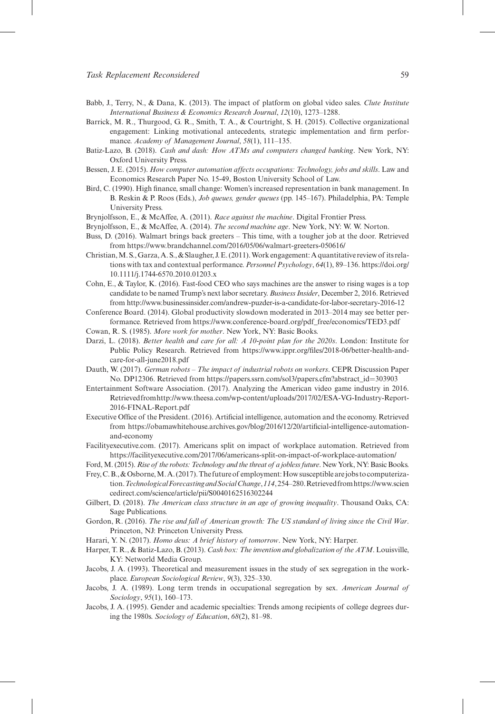- Babb, J., Terry, N., & Dana, K. (2013). The impact of platform on global video sales. *Clute Institute International Business & Economics Research Journal*, *12*(10), 1273–1288.
- Barrick, M. R., Thurgood, G. R., Smith, T. A., & Courtright, S. H. (2015). Collective organizational engagement: Linking motivational antecedents, strategic implementation and firm performance. *Academy of Management Journal*, *58*(1), 111–135.
- Batiz-Lazo, B. (2018). *Cash and dash: How ATMs and computers changed banking*. New York, NY: Oxford University Press.
- Bessen, J. E. (2015). *How computer automation affects occupations: Technology, jobs and skills*. Law and Economics Research Paper No. 15-49, Boston University School of Law.
- Bird, C. (1990). High finance, small change: Women's increased representation in bank management. In B. Reskin & P. Roos (Eds.), *Job queues, gender queues* (pp. 145–167). Philadelphia, PA: Temple University Press.
- Brynjolfsson, E., & McAffee, A. (2011). *Race against the machine*. Digital Frontier Press.
- Brynjolfsson, E., & McAffee, A. (2014). *The second machine age*. New York, NY: W. W. Norton.
- Buss, D. (2016). Walmart brings back greeters This time, with a tougher job at the door. Retrieved from https://www.brandchannel.com/2016/05/06/walmart-greeters-050616/
- Christian, M. S., Garza, A. S., & Slaugher, J. E. (2011). Work engagement: A quantitative review of its relations with tax and contextual performance. *Personnel Psychology*, *64*(1), 89–136. https://doi.org/ 10.1111/j.1744-6570.2010.01203.x
- Cohn, E., & Taylor, K. (2016). Fast-food CEO who says machines are the answer to rising wages is a top candidate to be named Trump's next labor secretary. *Business Insider*, December 2, 2016. Retrieved from http://www.businessinsider.com/andrew-puzder-is-a-candidate-for-labor-secretary-2016-12
- Conference Board. (2014). Global productivity slowdown moderated in 2013–2014 may see better performance. Retrieved from https://www.conference-board.org/pdf\_free/economics/TED3.pdf
- Cowan, R. S. (1985). *More work for mother*. New York, NY: Basic Books.
- Darzi, L. (2018). *Better health and care for all: A 10-point plan for the 2020s*. London: Institute for Public Policy Research. Retrieved from https://www.ippr.org/files/2018-06/better-health-andcare-for-all-june2018.pdf
- Dauth, W. (2017). *German robots The impact of industrial robots on workers*. CEPR Discussion Paper No. DP12306. Retrieved from https://papers.ssrn.com/sol3/papers.cfm?abstract\_id=303903
- Entertainment Software Association. (2017). Analyzing the American video game industry in 2016. Retrieved from http://www.theesa.com/wp-content/uploads/2017/02/ESA-VG-Industry-Report-2016-FINAL-Report.pdf
- Executive Office of the President. (2016). Artificial intelligence, automation and the economy. Retrieved from https://obamawhitehouse.archives.gov/blog/2016/12/20/artificial-intelligence-automationand-economy
- Facilityexecutive.com. (2017). Americans split on impact of workplace automation. Retrieved from https://facilityexecutive.com/2017/06/americans-split-on-impact-of-workplace-automation/
- Ford, M. (2015). *Rise of the robots: Technology and the threat of a jobless future*. New York, NY: Basic Books.
- Frey, C. B., & Osborne, M. A. (2017). The future of employment: How susceptible are jobs to computerization. *Technological Forecasting and Social Change*, *114*, 254–280. Retrieved from https://www.scien cedirect.com/science/article/pii/S0040162516302244
- Gilbert, D. (2018). *The American class structure in an age of growing inequality*. Thousand Oaks, CA: Sage Publications.
- Gordon, R. (2016). *The rise and fall of American growth: The US standard of living since the Civil War*. Princeton, NJ: Princeton University Press.
- Harari, Y. N. (2017). *Homo deus: A brief history of tomorrow*. New York, NY: Harper.
- Harper, T. R., & Batiz-Lazo, B. (2013). *Cash box: The invention and globalization of the ATM*. Louisville, KY: Networld Media Group.
- Jacobs, J. A. (1993). Theoretical and measurement issues in the study of sex segregation in the workplace. *European Sociological Review*, *9*(3), 325–330.
- Jacobs, J. A. (1989). Long term trends in occupational segregation by sex. *American Journal of Sociology*, *95*(1), 160–173.
- Jacobs, J. A. (1995). Gender and academic specialties: Trends among recipients of college degrees during the 1980s. *Sociology of Education*, *68*(2), 81–98.